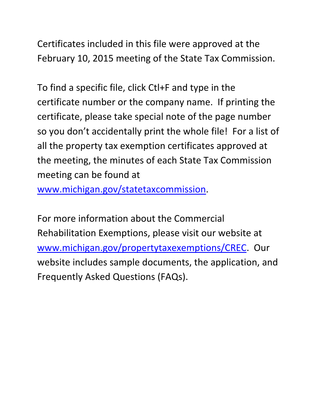Certificates included in this file were approved at the February 10, 2015 meeting of the State Tax Commission.

To find a specific file, click Ctl+F and type in the certificate number or the company name. If printing the certificate, please take special note of the page number so you don't accidentally print the whole file! For a list of all the property tax exemption certificates approved at the meeting, the minutes of each State Tax Commission meeting can be found at

www.michigan.gov/statetaxcommission.

For more information about the Commercial Rehabilitation Exemptions, please visit our website at www.michigan.gov/propertytaxexemptions/CREC. Our website includes sample documents, the application, and Frequently Asked Questions (FAQs).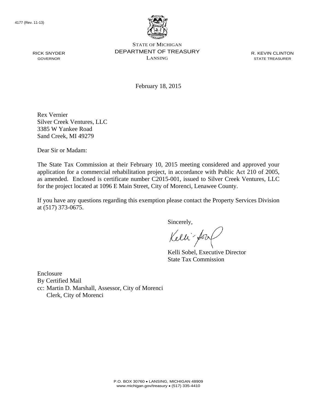RICK SNYDER GOVERNOR



STATE OF MICHIGAN DEPARTMENT OF TREASURY LANSING

R. KEVIN CLINTON STATE TREASURER

February 18, 2015

Rex Vernier Silver Creek Ventures, LLC 3385 W Yankee Road Sand Creek, MI 49279

Dear Sir or Madam:

The State Tax Commission at their February 10, 2015 meeting considered and approved your application for a commercial rehabilitation project, in accordance with Public Act 210 of 2005, as amended. Enclosed is certificate number C2015-001, issued to Silver Creek Ventures, LLC for the project located at 1096 E Main Street, City of Morenci, Lenawee County.

If you have any questions regarding this exemption please contact the Property Services Division at (517) 373-0675.

Sincerely,

Kelli fory

Kelli Sobel, Executive Director State Tax Commission

Enclosure By Certified Mail cc: Martin D. Marshall, Assessor, City of Morenci Clerk, City of Morenci